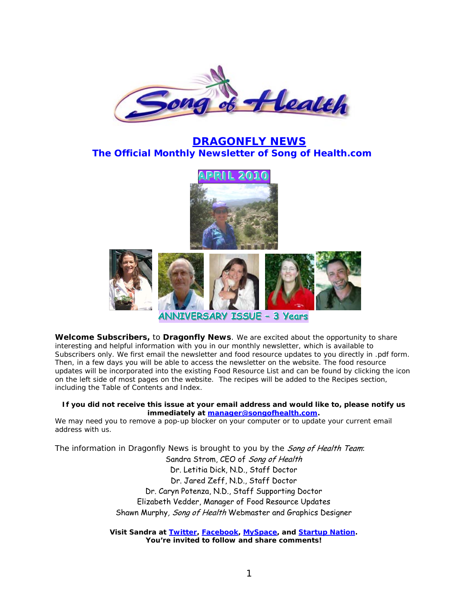

## **DRAGONFLY NEWS The Official Monthly Newsletter of** *Song of Health.com*



**Welcome Subscribers,** to *Dragonfly News*. We are excited about the opportunity to share interesting and helpful information with you in our monthly newsletter, which is available to Subscribers only. We first email the newsletter and food resource updates to you directly in .pdf form. Then, in a few days you will be able to access the newsletter on the website. The food resource updates will be incorporated into the existing Food Resource List and can be found by clicking the icon on the left side of most pages on the website. The recipes will be added to the Recipes section, including the Table of Contents and Index.

#### **If you did not receive this issue at your email address and would like to, please notify us immediately at [manager@songofhealth.com.](mailto:manager@songofhealth.com)**

We may need you to remove a pop-up blocker on your computer or to update your current email address with us.

The information in *Dragonfly News* is brought to you by the Song of Health Team:

Sandra Strom, CEO of Song of Health Dr. Letitia Dick, N.D., Staff Doctor Dr. Jared Zeff, N.D., Staff Doctor Dr. Caryn Potenza, N.D., Staff Supporting Doctor Elizabeth Vedder, Manager of Food Resource Updates Shawn Murphy, Song of Health Webmaster and Graphics Designer

*Visit Sandra at [Twitter,](https://twitter.com/songofhealth) [Facebook,](http://facebook.com/home.php?ref=home#/home.php?filter=pp) [MySpace,](http://www.myspace.com/380501517) and [Startup Nation.](http://startupnation.com/profile/SandraS) You're invited to follow and share comments!*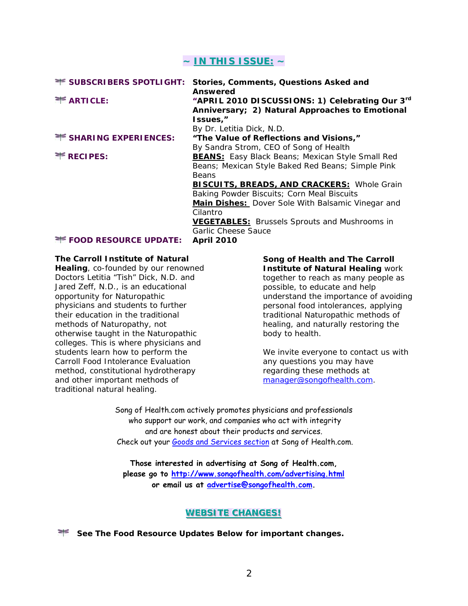## **~ INTHISISSUE: ~**

| <b>** SUBSCRIBERS SPOTLIGHT:</b> | Stories, Comments, Questions Asked and<br>Answered                                                             |
|----------------------------------|----------------------------------------------------------------------------------------------------------------|
| <b>EXARTICLE:</b>                | "APRIL 2010 DISCUSSIONS: 1) Celebrating Our 3rd<br>Anniversary; 2) Natural Approaches to Emotional<br>Issues," |
|                                  | By Dr. Letitia Dick, N.D.                                                                                      |
| <b>EXPERIENCES:</b>              | "The Value of Reflections and Visions,"                                                                        |
|                                  | By Sandra Strom, CEO of Song of Health                                                                         |
| $*$ RECIPES:                     | <b>BEANS:</b> Easy Black Beans; Mexican Style Small Red                                                        |
|                                  | Beans; Mexican Style Baked Red Beans; Simple Pink                                                              |
|                                  | <b>Beans</b>                                                                                                   |
|                                  | <b>BISCUITS, BREADS, AND CRACKERS: Whole Grain</b>                                                             |
|                                  | Baking Powder Biscuits; Corn Meal Biscuits                                                                     |
|                                  | <b>Main Dishes:</b> Dover Sole With Balsamic Vinegar and                                                       |
|                                  | Cilantro                                                                                                       |
|                                  | <b>VEGETABLES:</b> Brussels Sprouts and Mushrooms in                                                           |
|                                  | Garlic Cheese Sauce                                                                                            |
| <b>FOOD RESOURCE UPDATE:</b>     | <b>April 2010</b>                                                                                              |

#### *The Carroll Institute of Natural*

*Healing*, co-founded by our renowned Doctors Letitia "Tish" Dick, N.D. and Jared Zeff, N.D., is an educational opportunity for Naturopathic physicians and students to further their education in the traditional methods of Naturopathy, not otherwise taught in the Naturopathic colleges. This is where physicians and students learn how to perform the Carroll Food Intolerance Evaluation method, constitutional hydrotherapy and other important methods of traditional natural healing.

*Song of Health* **and** *The Carroll Institute of Natural Healing* work together to reach as many people as possible, to educate and help understand the importance of avoiding personal food intolerances, applying traditional Naturopathic methods of healing, and naturally restoring the body to health.

*We invite everyone to contact us with any questions you may have regarding these methods at [manager@songofhealth.com](mailto:manager@songofhealth.com).* 

Song of Health.com actively promotes physicians and professionals who support our work, and companies who act with integrity and are honest about their products and services. Check out your [Goods and Services section](http://www.songofhealth.com/goods.html) at Song of Health.com.

**Those interested in advertising at Song of Health.com, please go to<http://www.songofhealth.com/advertising.html> or email us at [advertise@songofhealth.com.](mailto:advertise@songofhealth.com)** 

## **WEBSITE CHANGES!**

**See The Food Resource Updates Below for important changes.**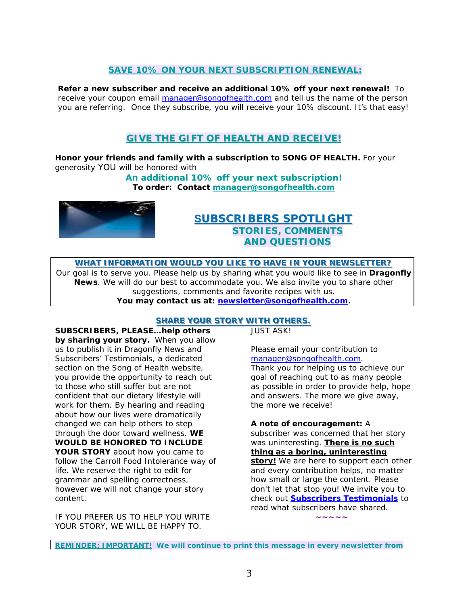## **SAVE 10% ON YOUR NEXT SUBSCRIPTION RENEWAL:**

**Refer a new subscriber and receive an additional 10% off your next renewal!** To receive your coupon email [manager@songofhealth.com](mailto:manager@songofhealth.com) and tell us the name of the person you are referring. Once they subscribe, you will receive your 10% discount. It's that easy!

## **GIVETHEGIFTOFHEALTHANDRECEIVE! ECEIVE!**

**Honor your friends and family with a subscription to SONG OF HEALTH.** For your generosity YOU will be honored with

> *An additional 10% off your next subscription!*  **To order: Contact [manager@songofhealth.com](mailto:manager@songofhealth.com)**



## **SUBSCRIBERS BSCRIBERS SPOTLIGHT POTLIGHT STORIES, COMMENTS AND QUESTIONS**

WHAT INFORMATION WOULD YOU LIKE TO HAVE IN YOUR NEWSLETTER?

Our goal is to serve you. Please help us by sharing what you would like to see in *Dragonfly News*. We will do our best to accommodate you. We also invite you to share other suggestions, comments and favorite recipes with us. **You may contact us at: newsletter@songofhealth.com.**

#### **SHARE YOUR STORY WITH OTHERS.**

**SUBSCRIBERS, PLEASE…help others by sharing your story.** When you allow us to publish it in *Dragonfly News* and *Subscribers' Testimonials,* a dedicated section on the *Song of Health* website, you provide the opportunity to reach out to those who still suffer but are not confident that our dietary lifestyle will work for them. By hearing and reading about how our lives were dramatically changed we can help others to step through the door toward wellness. **WE WOULD BE HONORED TO INCLUDE YOUR STORY** about how you came to follow the Carroll Food Intolerance way of life. We reserve the right to edit for grammar and spelling correctness, however we will not change your story content.

IF YOU PREFER US TO HELP YOU WRITE YOUR STORY, WE WILL BE HAPPY TO.

JUST ASK!

Please email your contribution to manager@songofhealth.com. Thank you for helping us to achieve our goal of reaching out to as many people as possible in order to provide help, hope and answers. The more we give away, the more we receive!

**A note of encouragement:** A

subscriber was concerned that her story was uninteresting. **There is no such thing as a boring, uninteresting story!** We are here to support each other and every contribution helps, no matter how small or large the content. Please don't let that stop you! We invite you to check out **[Subscribers Testimonials](http://www.songofhealth.com/testimonials.html)** to read what subscribers have shared.

**~~~~~**

**REMINDER: IMPORTANT! We will continue to print this message in every newsletter from**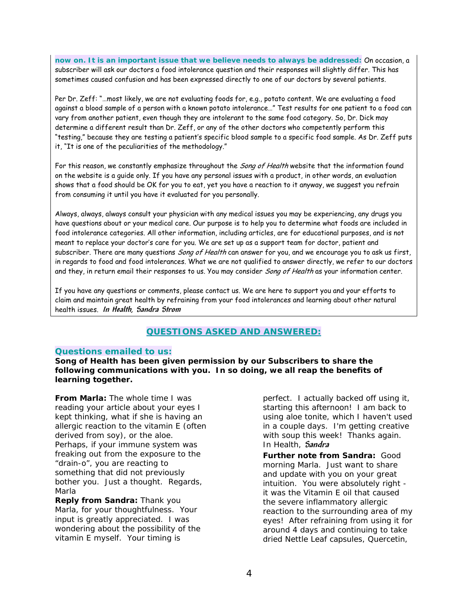**now on. It is an important issue that we believe needs to always be addressed:** On occasion, a subscriber will ask our doctors a food intolerance question and their responses will slightly differ. This has sometimes caused confusion and has been expressed directly to one of our doctors by several patients.

Per Dr. Zeff: "…most likely, we are not evaluating foods for, e.g., potato content. We are evaluating a food against a blood sample of a person with a known potato intolerance…" Test results for one patient to a food can vary from another patient, even though they are intolerant to the same food category. So, Dr. Dick may determine a different result than Dr. Zeff, or any of the other doctors who competently perform this "testing," because they are testing a patient's specific blood sample to a specific food sample. As Dr. Zeff puts it, "It is one of the peculiarities of the methodology."

For this reason, we constantly emphasize throughout the *Song of Health* website that the information found on the website is a guide only. If you have any personal issues with a product, in other words, an evaluation shows that a food should be OK for you to eat, yet you have a reaction to it anyway, we suggest you refrain from consuming it until you have it evaluated for you personally.

Always, always, always consult your physician with any medical issues you may be experiencing, any drugs you have questions about or your medical care. Our purpose is to help you to determine what foods are included in food intolerance categories. All other information, including articles, are for educational purposes, and is not meant to replace your doctor's care for you. We are set up as a support team for doctor, patient and subscriber. There are many questions *Song of Health* can answer for you, and we encourage you to ask us first, in regards to food and food intolerances. What we are not qualified to answer directly, we refer to our doctors and they, in return email their responses to us. You may consider Song of Health as your information center.

If you have any questions or comments, please contact us. We are here to support you and your efforts to claim and maintain great health by refraining from your food intolerances and learning about other natural health issues. **In Health, Sandra Strom**

## *QUESTIONS ASKED AND ANSWERED:*

#### *Questions emailed to us:*

**Song of Health has been given permission by our Subscribers to share the following communications with you. In so doing, we all reap the benefits of learning together.**

**From Marla:** The whole time I was reading your article about your eyes I kept thinking, what if she is having an allergic reaction to the vitamin E (often derived from soy), or the aloe. Perhaps, if your immune system was freaking out from the exposure to the "drain-o", you are reacting to something that did not previously bother you. Just a thought. Regards, Marla

**Reply from Sandra:** Thank you Marla, for your thoughtfulness. Your input is greatly appreciated. I was wondering about the possibility of the vitamin E myself. Your timing is

perfect. I actually backed off using it, starting this afternoon! I am back to using aloe tonite, which I haven't used in a couple days. I'm getting creative with soup this week! Thanks again. In Health, **Sandra** 

**Further note from Sandra:** Good morning Marla. Just want to share and update with you on your great intuition. You were absolutely right it was the Vitamin E oil that caused the severe inflammatory allergic reaction to the surrounding area of my eyes! After refraining from using it for around 4 days and continuing to take dried Nettle Leaf capsules, Quercetin,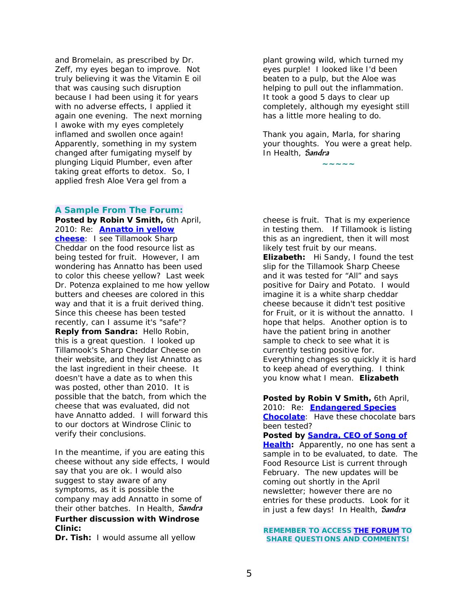and Bromelain, as prescribed by Dr. Zeff, my eyes began to improve. Not truly believing it was the Vitamin E oil that was causing such disruption because I had been using it for years with no adverse effects, I applied it again one evening. The next morning I awoke with my eyes completely inflamed and swollen once again! Apparently, something in my system changed after fumigating myself by plunging Liquid Plumber, even after taking great efforts to detox. So, I applied fresh Aloe Vera gel from a

#### *A Sample From The Forum:*

**Posted by Robin V Smith,** 6th April, 2010: Re: **[Annatto in yellow](http://www.songofhealth.com/cgi/forum/mf_browse.pl?Com=thread&Category=a01cI799&Thread=5f01fA2)  [cheese](http://www.songofhealth.com/cgi/forum/mf_browse.pl?Com=thread&Category=a01cI799&Thread=5f01fA2)**: I see Tillamook Sharp Cheddar on the food resource list as being tested for fruit. However, I am wondering has Annatto has been used to color this cheese yellow? Last week Dr. Potenza explained to me how yellow butters and cheeses are colored in this way and that it is a fruit derived thing. Since this cheese has been tested recently, can I assume it's "safe"? **Reply from Sandra:** Hello Robin, this is a great question. I looked up Tillamook's Sharp Cheddar Cheese on their website, and they list Annatto as the last ingredient in their cheese. It doesn't have a date as to when this was posted, other than 2010. It is possible that the batch, from which the cheese that was evaluated, did not have Annatto added. I will forward this to our doctors at Windrose Clinic to verify their conclusions.

In the meantime, if you are eating this cheese without any side effects, I would say that you are ok. I would also suggest to stay aware of any symptoms, as it is possible the company may add Annatto in some of their other batches. In Health, **Sandra Further discussion with Windrose Clinic:** 

**Dr. Tish:** I would assume all yellow

plant growing wild, which turned my eyes purple! I looked like I'd been beaten to a pulp, but the Aloe was helping to pull out the inflammation. It took a good 5 days to clear up completely, although my eyesight still has a little more healing to do.

Thank you again, Marla, for sharing your thoughts. You were a great help. In Health, **Sandra**

**~~~~~**

cheese is fruit. That is my experience in testing them. If Tillamook is listing this as an ingredient, then it will most likely test fruit by our means. **Elizabeth:** Hi Sandy, I found the test slip for the Tillamook Sharp Cheese and it was tested for "All" and says positive for Dairy and Potato. I would imagine it is a white sharp cheddar cheese because it didn't test positive for Fruit, or it is without the annatto. I hope that helps. Another option is to have the patient bring in another sample to check to see what it is currently testing positive for. Everything changes so quickly it is hard to keep ahead of everything. I think you know what I mean. *Elizabeth*

**Posted by Robin V Smith,** 6th April, 2010: Re: **[Endangered Species](http://www.songofhealth.com/cgi/forum/mf_browse.pl?Com=thread&Category=a01dX652&Thread=9e01cn3)  [Chocolate](http://www.songofhealth.com/cgi/forum/mf_browse.pl?Com=thread&Category=a01dX652&Thread=9e01cn3)**: Have these chocolate bars been tested? **Posted by [Sandra, CEO of Song of](mailto:manager@songofhealth.com)  [Health:](mailto:manager@songofhealth.com)** Apparently, no one has sent a sample in to be evaluated, to date. The Food Resource List is current through February. The new updates will be coming out shortly in the April newsletter; however there are no entries for these products. Look for it in just a few days! In Health, **Sandra**

*REMEMBER TO ACCESS [THE FORUM](http://www.songofhealth.com/subscribers/forumintro.html) TO SHARE QUESTIONS AND COMMENTS!*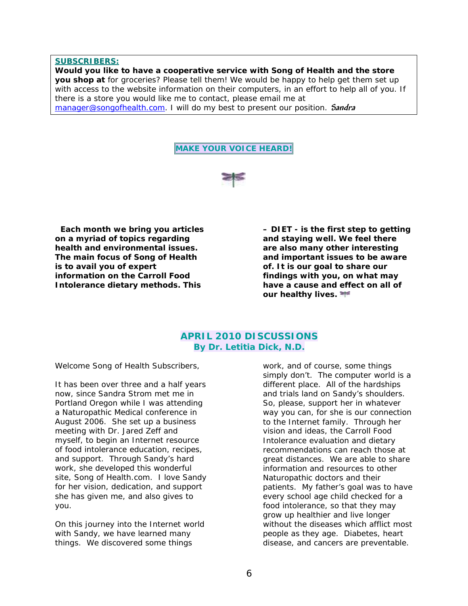#### **SUBSCRIBERS:**

**Would you like to have a cooperative service with** *Song of Health* **and the store you shop at** for groceries? Please tell them! We would be happy to help get them set up with access to the website information on their computers, in an effort to help all of you. If there is a store you would like me to contact, please email me at [manager@songofhealth.com.](mailto:manager@songofhealth.com) I will do my best to present our position. **Sandra**





 **Each month we bring you articles on a myriad of topics regarding health and environmental issues. The main focus of** *Song of Health* **is to avail you of expert information on the Carroll Food Intolerance dietary methods. This** 

**– DIET - is the first step to getting and staying well. We feel there are also many other interesting and important issues to be aware of. It is our goal to share our findings with you, on what may have a cause and effect on all of our healthy lives.** 

## **APRIL 2010 DISCUSSIONS**  *By Dr. Letitia Dick, N.D.*

Welcome Song of Health Subscribers,

It has been over three and a half years now, since Sandra Strom met me in Portland Oregon while I was attending a Naturopathic Medical conference in August 2006. She set up a business meeting with Dr. Jared Zeff and myself, to begin an Internet resource of food intolerance education, recipes, and support. Through Sandy's hard work, she developed this wonderful site, Song of Health.com. I love Sandy for her vision, dedication, and support she has given me, and also gives to you.

On this journey into the Internet world with Sandy, we have learned many things. We discovered some things

work, and of course, some things simply don't. The computer world is a different place. All of the hardships and trials land on Sandy's shoulders. So, please, support her in whatever way you can, for she is our connection to the Internet family. Through her vision and ideas, the Carroll Food Intolerance evaluation and dietary recommendations can reach those at great distances. We are able to share information and resources to other Naturopathic doctors and their patients. My father's goal was to have every school age child checked for a food intolerance, so that they may grow up healthier and live longer without the diseases which afflict most people as they age. Diabetes, heart disease, and cancers are preventable.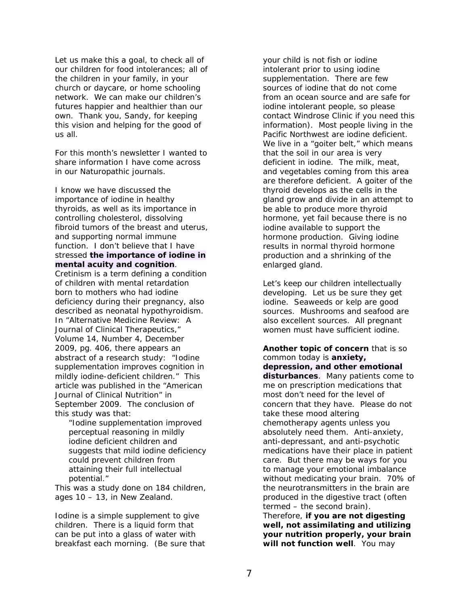Let us make this a goal, to check all of our children for food intolerances; all of the children in your family, in your church or daycare, or home schooling network. We can make our children's futures happier and healthier than our own. Thank you, Sandy, for keeping this vision and helping for the good of us all.

For this month's newsletter I wanted to share information I have come across in our Naturopathic journals.

I know we have discussed the importance of iodine in healthy thyroids, as well as its importance in controlling cholesterol, dissolving fibroid tumors of the breast and uterus, and supporting normal immune function. I don't believe that I have stressed **the importance of iodine in mental acuity and cognition**.

Cretinism is a term defining a condition of children with mental retardation born to mothers who had iodine deficiency during their pregnancy, also described as *neonatal hypothyroidism*. In "Alternative Medicine Review: A Journal of Clinical Therapeutics," Volume 14, Number 4, December 2009, pg. 406, there appears an abstract of a research study: "Iodine supplementation improves cognition in mildly iodine-deficient children." This article was published in the "American Journal of Clinical Nutrition" in September 2009. The conclusion of this study was that:

"Iodine supplementation improved perceptual reasoning in mildly iodine deficient children and suggests that mild iodine deficiency could prevent children from attaining their full intellectual potential."

This was a study done on 184 children, ages 10 – 13, in New Zealand.

Iodine is a simple supplement to give children. There is a liquid form that can be put into a glass of water with breakfast each morning. (Be sure that

your child is not fish or iodine intolerant prior to using iodine supplementation. There are few sources of iodine that do not come from an ocean source and are safe for iodine intolerant people, so please contact Windrose Clinic if you need this information). Most people living in the Pacific Northwest are iodine deficient. We live in a "goiter belt," which means that the soil in our area is very deficient in iodine. The milk, meat, and vegetables coming from this area are therefore deficient. A goiter of the thyroid develops as the cells in the gland grow and divide in an attempt to be able to produce more thyroid hormone, yet fail because there is no iodine available to support the hormone production. Giving iodine results in normal thyroid hormone production and a shrinking of the enlarged gland.

Let's keep our children intellectually developing. Let us be sure they get iodine. Seaweeds or kelp are good sources. Mushrooms and seafood are also excellent sources. All pregnant women must have sufficient iodine.

**Another topic of concern** that is so common today is **anxiety, depression, and other emotional disturbances**. Many patients come to me on prescription medications that most don't need for the level of concern that they have. Please do not take these mood altering chemotherapy agents unless you absolutely need them. Anti-anxiety, anti-depressant, and anti-psychotic medications have their place in patient care. But there may be ways for you to manage your emotional imbalance without medicating your brain. 70% of the neurotransmitters in the brain are produced in the digestive tract (often termed – the second brain). Therefore, **if you are not digesting well, not assimilating and utilizing your nutrition properly, your brain will not function well**. You may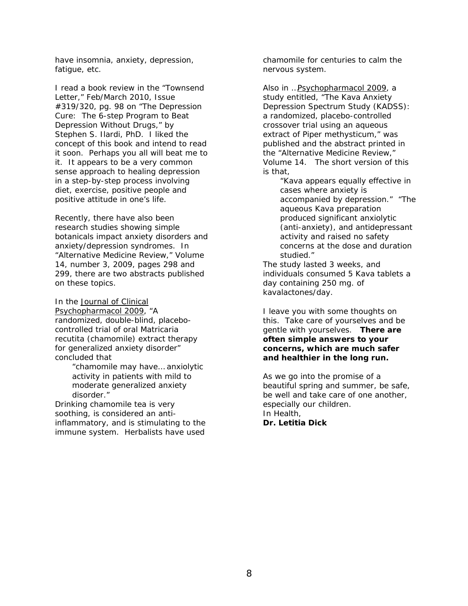have insomnia, anxiety, depression, fatigue, etc.

I read a book review in the "Townsend Letter," Feb/March 2010, Issue #319/320, pg. 98 on "The Depression Cure: The 6-step Program to Beat Depression Without Drugs," by Stephen S. Ilardi, PhD. I liked the concept of this book and intend to read it soon. Perhaps you all will beat me to it. It appears to be a very common sense approach to healing depression in a step-by-step process involving diet, exercise, positive people and positive attitude in one's life.

Recently, there have also been research studies showing simple botanicals impact anxiety disorders and anxiety/depression syndromes. In "Alternative Medicine Review," Volume 14, number 3, 2009, pages 298 and 299, there are two abstracts published on these topics.

In the Journal of Clinical Psychopharmacol 2009, "A randomized, double-blind, placebocontrolled trial of oral *Matricaria recutita* (chamomile) extract therapy for generalized anxiety disorder" concluded that

"chamomile may have… anxiolytic activity in patients with mild to moderate generalized anxiety disorder."

Drinking chamomile tea is very soothing, is considered an antiinflammatory, and is stimulating to the immune system. Herbalists have used

chamomile for centuries to calm the nervous system.

Also in …Psychopharmacol 2009, a study entitled, "The Kava Anxiety Depression Spectrum Study (KADSS): a randomized, placebo-controlled crossover trial using an aqueous extract of *Piper methysticum,*" was published and the abstract printed in the "Alternative Medicine Review," Volume 14. The short version of this is that,

"Kava appears equally effective in cases where anxiety is accompanied by depression." "The aqueous Kava preparation produced significant anxiolytic (anti-anxiety), and antidepressant activity and raised no safety concerns at the dose and duration studied."

The study lasted 3 weeks, and individuals consumed 5 Kava tablets a day containing 250 mg. of kavalactones/day.

I leave you with some thoughts on this. Take care of yourselves and be gentle with yourselves. **There are often simple answers to your concerns, which are much safer and healthier in the long run.** 

As we go into the promise of a beautiful spring and summer, be safe, be well and take care of one another, especially our children. In Health, *Dr. Letitia Dick*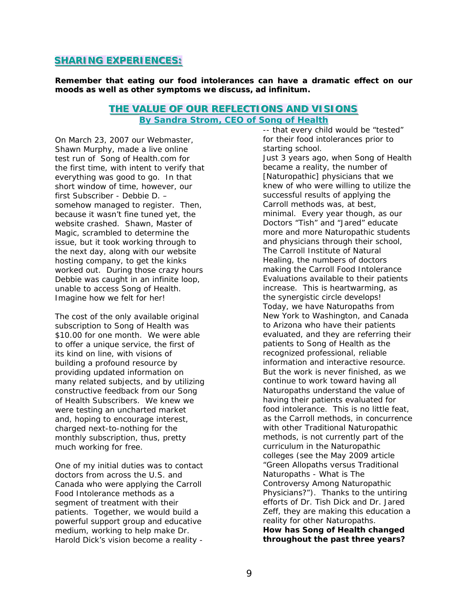#### **SHARING EXPERIENCES:**

**Remember that eating our food intolerances can have a dramatic effect on our moods as well as other symptoms we discuss,** *ad infinitum***.**

#### **THE VALUE OF OUR REFLECTIONS AND VISIONS** *By Sandra Strom, CEO of Song of Health*

On March 23, 2007 our Webmaster, Shawn Murphy, made a live online test run of Song of Health.com for the first time, with intent to verify that everything was good to go. In that short window of time, however, our first Subscriber - Debbie D. – somehow managed to register. Then, because it wasn't fine tuned yet, the website crashed. Shawn, Master of Magic, scrambled to determine the issue, but it took working through to the next day, along with our website hosting company, to get the kinks worked out. During those crazy hours Debbie was caught in an infinite loop, unable to access Song of Health. Imagine how we felt for her!

The cost of the only available original subscription to Song of Health was \$10.00 for one month. We were able to offer a unique service, the first of its kind on line, with visions of building a profound resource by providing updated information on many related subjects, and by utilizing constructive feedback from our Song of Health Subscribers. We knew we were testing an uncharted market and, hoping to encourage interest, charged next-to-nothing for the monthly subscription, thus, pretty much working for free.

One of my initial duties was to contact doctors from across the U.S. and Canada who were applying the Carroll Food Intolerance methods as a segment of treatment with their patients. Together, we would build a powerful support group and educative medium, working to help make Dr. Harold Dick's vision become a reality -

for their food intolerances prior to starting school. Just 3 years ago, when Song of Health became a reality, the number of [Naturopathic] physicians that we knew of who were willing to utilize the successful results of applying the Carroll methods was, at best, minimal. Every year though, as our Doctors "Tish" and "Jared" educate more and more Naturopathic students and physicians through their school, *The Carroll Institute of Natural Healing*, the numbers of doctors making the Carroll Food Intolerance Evaluations available to their patients increase. This is heartwarming, as the synergistic circle develops! Today, we have Naturopaths from New York to Washington, and Canada to Arizona who have their patients evaluated, and they are referring their patients to Song of Health as the recognized professional, reliable information and interactive resource. But the work is never finished, as we continue to work toward having all Naturopaths understand the value of having their patients evaluated for food intolerance. This is no little feat, as the Carroll methods, in concurrence with other Traditional Naturopathic methods, is not currently part of the curriculum in the Naturopathic colleges (see the May 2009 article "Green Allopaths versus Traditional Naturopaths - What is The Controversy Among Naturopathic Physicians?"). Thanks to the untiring efforts of Dr. Tish Dick and Dr. Jared Zeff, they are making this education a reality for other Naturopaths. *How has Song of Health changed throughout the past three years?* 

-- that every child would be "tested"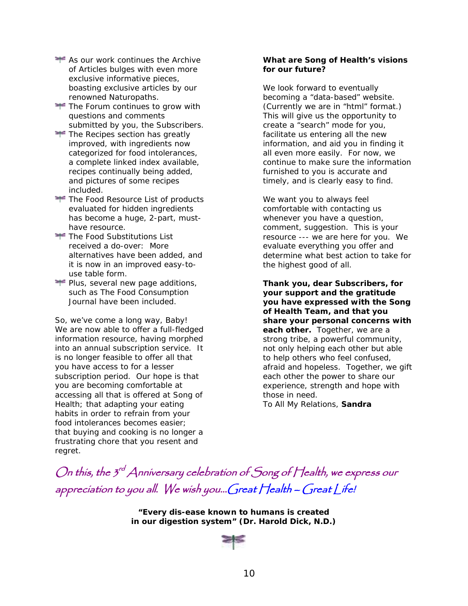- As our work continues the Archive of Articles bulges with even more exclusive informative pieces, boasting exclusive articles by our renowned Naturopaths.
- The Forum continues to grow with questions and comments submitted by you, the Subscribers.
- The Recipes section has greatly improved, with ingredients now categorized for food intolerances, a complete linked index available, recipes continually being added, and pictures of some recipes included.
- The Food Resource List of products evaluated for hidden ingredients has become a huge, 2-part, musthave resource.
- The Food Substitutions List received a do-over: More alternatives have been added, and it is now in an improved easy-touse table form.
- Plus, several new page additions, such as The Food Consumption Journal have been included.

So, we've come a long way, Baby! We are now able to offer a full-fledged information resource, having morphed into an annual subscription service. It is no longer feasible to offer all that you have access to for a lesser subscription period. Our hope is that you are becoming comfortable at accessing all that is offered at Song of Health; that adapting your eating habits in order to refrain from your food intolerances becomes easier; that buying and cooking is no longer a frustrating chore that you resent and regret.

#### *What are Song of Health's visions for our future?*

We look forward to eventually becoming a "data-based" website. (Currently we are in "html" format.) This will give us the opportunity to create a "search" mode for you, facilitate us entering all the new information, and aid you in finding it all even more easily. For now, we continue to make sure the information furnished to you is accurate and timely, and is clearly easy to find.

We want you to always feel comfortable with contacting us whenever you have a question, comment, suggestion. This is your resource --- we are here for you. We evaluate everything you offer and determine what best action to take for the highest good of all.

**Thank you, dear Subscribers, for your support and the gratitude you have expressed with the Song of Health Team, and that you share your personal concerns with each other.** Together, we are a strong tribe, a powerful community, not only helping each other but able to help others who feel confused, afraid and hopeless. Together, we gift each other the power to share our experience, strength and hope with those in need. *To All My Relations*, *Sandra* 

On this, the  $3^{rd}$  Anniversary celebration of Song of Health, we express our appreciation to you all. We wish you...Great Health – Great Life!

> *"Every dis-ease known to humans is created in our digestion system" (Dr. Harold Dick, N.D.)*

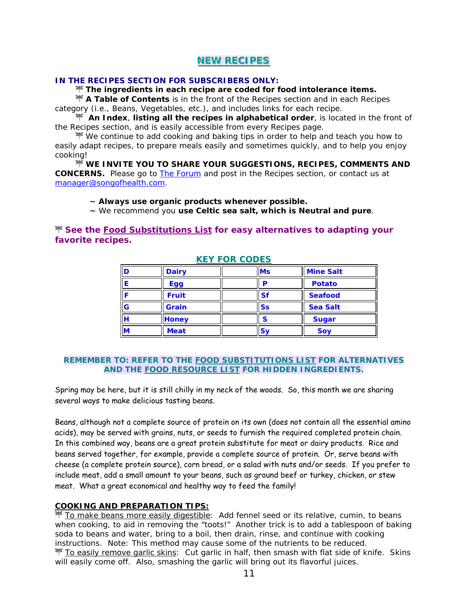## **NEW RECIPES**

#### **IN THE RECIPES SECTION FOR SUBSCRIBERS ONLY:**

**The ingredients in each recipe are coded for food intolerance items.**

**A Table of Contents** is in the front of the Recipes section and in each Recipes category (i.e., Beans, Vegetables, etc.), and includes links for each recipe.

 **An Index**, **listing all the recipes in alphabetical order**, is located in the front of the Recipes section, and is easily accessible from every Recipes page.

 $\mathbb F$  We continue to add cooking and baking tips in order to help and teach you how to easily adapt recipes, to prepare meals easily and sometimes quickly, and to help you enjoy cooking!

**WE INVITE YOU TO SHARE YOUR SUGGESTIONS, RECIPES, COMMENTS AND CONCERNS.** Please go to [The Forum](http://www.songofhealth.com/subscribers/forumintro.html) and post in the Recipes section, or contact us at [manager@songofhealth.com.](mailto:manager@songofhealth.com)

#### *~ Always use organic products whenever possible.*

*~ We recommend you use Celtic sea salt, which is Neutral and pure.* 

**See the [Food Substitutions List](http://www.songofhealth.com/subscribers/foodresources/foodsub.html) for easy alternatives to adapting your favorite recipes.**

| D | <b>Dairy</b> | <b>Ms</b> | <b>Mine Salt</b> |  |
|---|--------------|-----------|------------------|--|
|   | Egg          | D         | <b>Potato</b>    |  |
|   | <b>Fruit</b> | <b>Sf</b> | <b>Seafood</b>   |  |
| G | Grain        | Ss        | <b>Sea Salt</b>  |  |
| н | <b>Honey</b> | S         | <b>Sugar</b>     |  |
| M | <b>Meat</b>  | <b>Sy</b> | Soy              |  |

#### **KEY FOR CODES**

#### *REMEMBER TO:* **REFER TO THE [FOOD SUBSTITUTIONS LIST](http://www.songofhealth.com/subscribers/foodresources/foodsub.html) FOR ALTERNATIVES AND THE [FOOD RESOURCE LIST](http://www.songofhealth.com/subscribers/foodresources/intro.html) FOR HIDDEN INGREDIENTS.**

Spring may be here, but it is still chilly in my neck of the woods. So, this month we are sharing several ways to make delicious tasting beans.

Beans, although not a complete source of protein on its own (does not contain all the essential amino acids), may be served with grains, nuts, or seeds to furnish the required completed protein chain. In this combined way, beans are a great protein substitute for meat or dairy products. Rice and beans served together, for example, provide a complete source of protein. Or, serve beans with cheese (a complete protein source), corn bread, or a salad with nuts and/or seeds. If you prefer to include meat, add a small amount to your beans, such as ground beef or turkey, chicken, or stew meat. What a great economical and healthy way to feed the family!

#### **COOKING AND PREPARATION TIPS:**

 To make beans more easily digestible: Add fennel seed or its relative, cumin, to beans when cooking, to aid in removing the "toots!" Another trick is to add a tablespoon of baking soda to beans and water, bring to a boil, then drain, rinse, and continue with cooking instructions. Note: This method may cause some of the nutrients to be reduced. **T** To easily remove garlic skins: Cut garlic in half, then smash with flat side of knife. Skins will easily come off. Also, smashing the garlic will bring out its flavorful juices.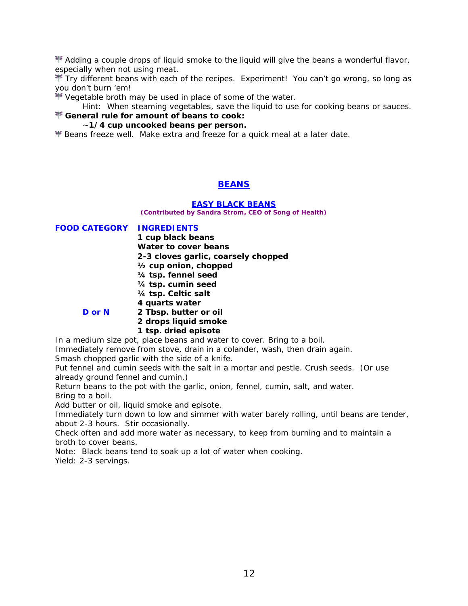$\mathbb F$  Adding a couple drops of liquid smoke to the liquid will give the beans a wonderful flavor, especially when not using meat.

Trv different beans with each of the recipes. Experiment! You can't go wrong, so long as you don't burn 'em!

\* Vegetable broth may be used in place of some of the water.

*Hint*: When steaming vegetables, save the liquid to use for cooking beans or sauces.

# **General rule for amount of beans to cook:**

#### ~**1/4 cup uncooked beans per person.**

**F** Beans freeze well. Make extra and freeze for a quick meal at a later date.

## **BEANS**

#### **EASY BLACK BEANS**

**(Contributed by Sandra Strom, CEO of Song of Health)** 

**FOOD CATEGORY INGREDIENTS 1 cup black beans Water to cover beans 2-3 cloves garlic, coarsely chopped ½ cup onion, chopped ¼ tsp. fennel seed ¼ tsp. cumin seed ¼ tsp. Celtic salt 4 quarts water D or N 2 Tbsp. butter or oil 2 drops liquid smoke 1 tsp. dried episote** 

In a medium size pot, place beans and water to cover. Bring to a boil. Immediately remove from stove, drain in a colander, wash, then drain again.

Smash chopped garlic with the side of a knife.

Put fennel and cumin seeds with the salt in a mortar and pestle. Crush seeds. (Or use already ground fennel and cumin.)

Return beans to the pot with the garlic, onion, fennel, cumin, salt, and water. Bring to a boil.

Add butter or oil, liquid smoke and episote.

Immediately turn down to low and simmer with water barely rolling, until beans are tender, about 2-3 hours. Stir occasionally.

Check often and add more water as necessary, to keep from burning and to maintain a broth to cover beans.

Note: Black beans tend to soak up a lot of water when cooking. *Yield: 2-3 servings.*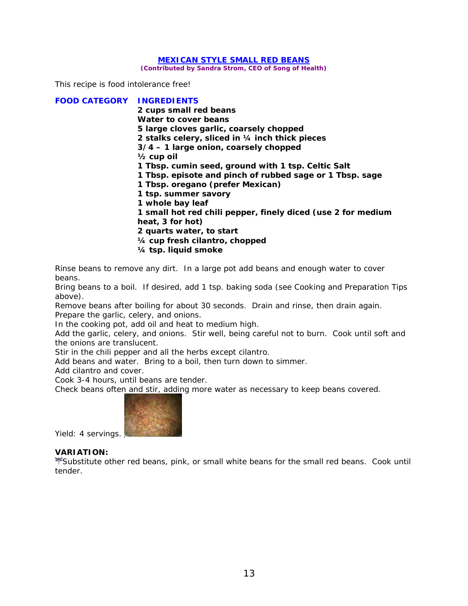#### **MEXICAN STYLE SMALL RED BEANS**

**(Contributed by Sandra Strom, CEO of Song of Health)** 

*This recipe is food intolerance free!* 

**FOOD CATEGORY INGREDIENTS 2 cups small red beans Water to cover beans 5 large cloves garlic, coarsely chopped 2 stalks celery, sliced in ¼ inch thick pieces 3/4 – 1 large onion, coarsely chopped ½ cup oil 1 Tbsp. cumin seed, ground with 1 tsp. Celtic Salt 1 Tbsp. episote and pinch of rubbed sage** *or* **1 Tbsp. sage 1 Tbsp. oregano (prefer Mexican) 1 tsp. summer savory 1 whole bay leaf 1 small hot red chili pepper, finely diced (use 2 for medium heat, 3 for hot) 2 quarts water, to start ¼ cup fresh cilantro, chopped ¼ tsp. liquid smoke** 

Rinse beans to remove any dirt. In a large pot add beans and enough water to cover beans.

Bring beans to a boil. If desired, add 1 tsp. baking soda (see Cooking and Preparation Tips above).

Remove beans after boiling for about 30 seconds. Drain and rinse, then drain again. Prepare the garlic, celery, and onions.

In the cooking pot, add oil and heat to medium high.

Add the garlic, celery, and onions. Stir well, being careful not to burn. Cook until soft and the onions are translucent.

Stir in the chili pepper and all the herbs except cilantro.

Add beans and water. Bring to a boil, then turn down to simmer.

Add cilantro and cover.

Cook 3-4 hours, until beans are tender.

Check beans often and stir, adding more water as necessary to keep beans covered.



Y*ield: 4 servings.* 

#### *VARIATION:*

Substitute other red beans, pink, or small white beans for the small red beans. Cook until tender.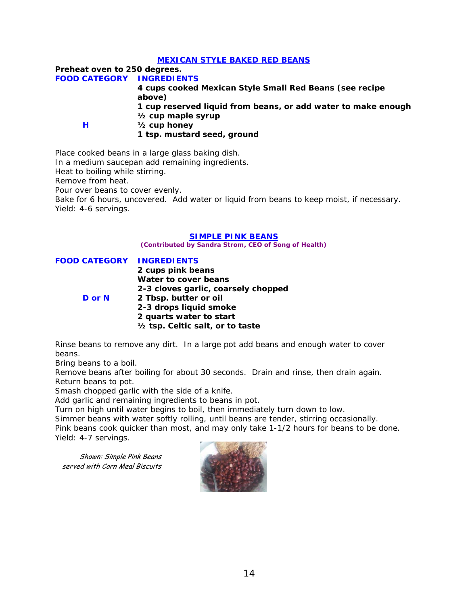#### **MEXICAN STYLE BAKED RED BEANS**

**Preheat oven to 250 degrees. FOOD CATEGORY INGREDIENTS 4 cups cooked Mexican Style Small Red Beans (see recipe above) 1 cup reserved liquid from beans, or add water to make enough ½ cup maple syrup H ½ cup honey**  **1 tsp. mustard seed, ground** 

Place cooked beans in a large glass baking dish.

In a medium saucepan add remaining ingredients.

Heat to boiling while stirring.

Remove from heat.

Pour over beans to cover evenly.

Bake for 6 hours, uncovered. Add water or liquid from beans to keep moist, if necessary. *Yield: 4-6 servings.* 

#### **SIMPLE PINK BEANS**

**(Contributed by Sandra Strom, CEO of Song of Health)** 

**FOOD CATEGORY INGREDIENTS 2 cups pink beans Water to cover beans 2-3 cloves garlic, coarsely chopped D or N 2 Tbsp. butter or oil 2-3 drops liquid smoke 2 quarts water to start ½ tsp. Celtic salt, or to taste** 

Rinse beans to remove any dirt. In a large pot add beans and enough water to cover beans.

Bring beans to a boil.

Remove beans after boiling for about 30 seconds. Drain and rinse, then drain again. Return beans to pot.

Smash chopped garlic with the side of a knife.

Add garlic and remaining ingredients to beans in pot.

Turn on high until water begins to boil, then immediately turn down to low.

Simmer beans with water softly rolling, until beans are tender, stirring occasionally.

Pink beans cook quicker than most, and may only take 1-1/2 hours for beans to be done. *Yield: 4-7 servings.* 

Shown: Simple Pink Beans served with Corn Meal Biscuits

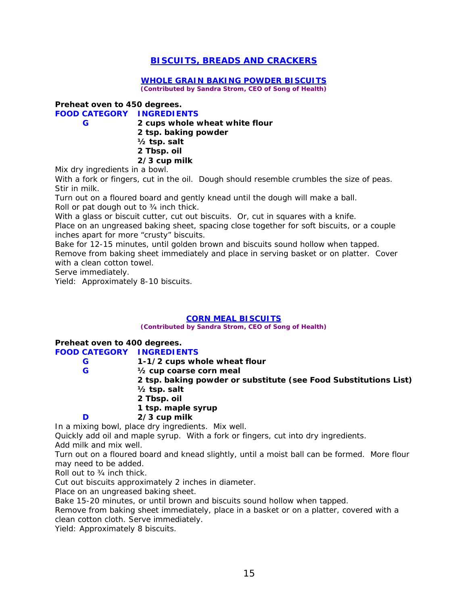## **BISCUITS, BREADS AND CRACKERS**

#### **WHOLE GRAIN BAKING POWDER BISCUITS**

**(Contributed by Sandra Strom, CEO of Song of Health)** 

## **Preheat oven to 450 degrees.**

**FOOD CATEGORY INGREDIENTS G 2 cups whole wheat white flour** 

 **2 tsp. baking powder ½ tsp. salt 2 Tbsp. oil** 

## **2/3 cup milk**

Mix dry ingredients in a bowl.

With a fork or fingers, cut in the oil. Dough should resemble crumbles the size of peas. Stir in milk.

Turn out on a floured board and gently knead until the dough will make a ball. Roll or pat dough out to ¾ inch thick.

With a glass or biscuit cutter, cut out biscuits. Or, cut in squares with a knife.

Place on an ungreased baking sheet, spacing close together for soft biscuits, or a couple inches apart for more "crusty" biscuits.

Bake for 12-15 minutes, until golden brown and biscuits sound hollow when tapped.

Remove from baking sheet immediately and place in serving basket or on platter. Cover with a clean cotton towel.

Serve immediately.

*Yield: Approximately 8-10 biscuits.* 

#### **CORN MEAL BISCUITS**

**(Contributed by Sandra Strom, CEO of Song of Health)** 

# **Preheat oven to 400 degrees.**

**FOOD CATEGORY INGREDIENTS G 1-1/2 cups whole wheat flour G ½ cup coarse corn meal 2 tsp. baking powder or substitute (see Food Substitutions List) ½ tsp. salt 2 Tbsp. oil 1 tsp. maple syrup** 

## **D 2/3 cup milk**

In a mixing bowl, place dry ingredients. Mix well.

Quickly add oil and maple syrup. With a fork or fingers, cut into dry ingredients. Add milk and mix well.

Turn out on a floured board and knead slightly, until a moist ball can be formed. More flour may need to be added.

Roll out to ¾ inch thick.

Cut out biscuits approximately 2 inches in diameter.

Place on an ungreased baking sheet.

Bake 15-20 minutes, or until brown and biscuits sound hollow when tapped.

Remove from baking sheet immediately, place in a basket or on a platter, covered with a clean cotton cloth. Serve immediately.

*Yield: Approximately 8 biscuits.*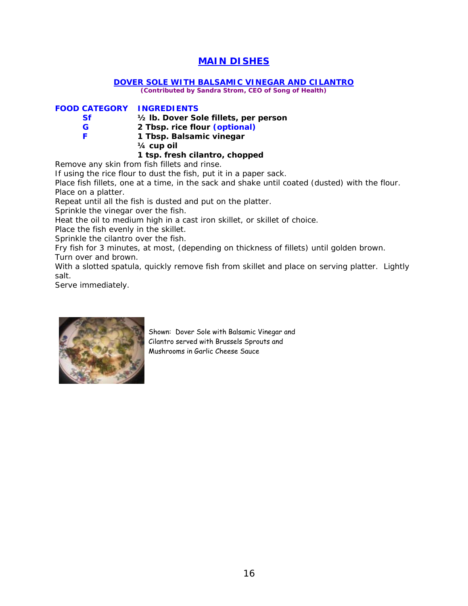## **MAIN DISHES**

#### **DOVER SOLE WITH BALSAMIC VINEGAR AND CILANTRO**

**(Contributed by Sandra Strom, CEO of Song of Health)** 

#### **FOOD CATEGORY INGREDIENTS**

| Sf | 1/2 lb. Dover Sole fillets, per person |
|----|----------------------------------------|
| G  | 2 Tbsp. rice flour (optional)          |
|    | 1 Tbsp. Balsamic vinegar               |
|    | $1/2$ $-1/2$ $-1$                      |

 **¼ cup oil** 

## **1 tsp. fresh cilantro, chopped**

Remove any skin from fish fillets and rinse.

If using the rice flour to dust the fish, put it in a paper sack.

Place fish fillets, one at a time, in the sack and shake until coated (dusted) with the flour. Place on a platter.

Repeat until all the fish is dusted and put on the platter.

Sprinkle the vinegar over the fish.

Heat the oil to medium high in a cast iron skillet, or skillet of choice.

Place the fish evenly in the skillet.

Sprinkle the cilantro over the fish.

Fry fish for 3 minutes, at most, (depending on thickness of fillets) until golden brown.

Turn over and brown.

With a slotted spatula, quickly remove fish from skillet and place on serving platter. Lightly salt.

Serve immediately.



Shown: Dover Sole with Balsamic Vinegar and Cilantro served with Brussels Sprouts and Mushrooms in Garlic Cheese Sauce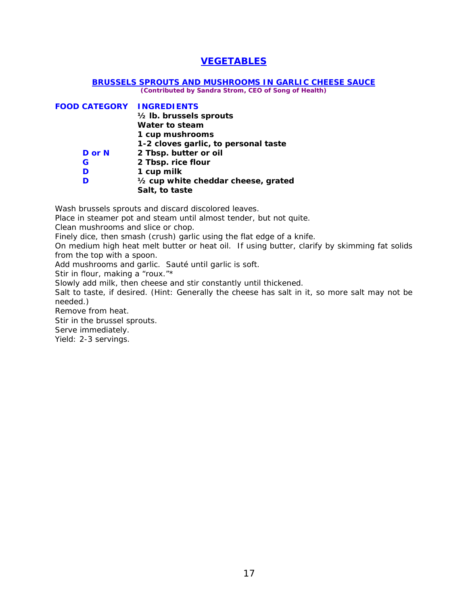## **VEGETABLES**

#### **BRUSSELS SPROUTS AND MUSHROOMS IN GARLIC CHEESE SAUCE**

**(Contributed by Sandra Strom, CEO of Song of Health)** 

| <b>FOOD CATEGORY INGREDIENTS</b> |                                      |
|----------------------------------|--------------------------------------|
|                                  | 1/2 lb. brussels sprouts             |
|                                  | Water to steam                       |
|                                  | 1 cup mushrooms                      |
|                                  | 1-2 cloves garlic, to personal taste |
| D or N                           | 2 Tbsp. butter or oil                |
| G                                | 2 Tbsp. rice flour                   |
| D                                | 1 cup milk                           |
| D                                | 1/2 cup white cheddar cheese, grated |
|                                  | Salt, to taste                       |

Wash brussels sprouts and discard discolored leaves.

Place in steamer pot and steam until almost tender, but not quite.

Clean mushrooms and slice or chop.

Finely dice, then smash (crush) garlic using the flat edge of a knife.

On medium high heat melt butter or heat oil. If using butter, clarify by skimming fat solids from the top with a spoon.

Add mushrooms and garlic. Sauté until garlic is soft.

Stir in flour, making a "roux."\*

Slowly add milk, then cheese and stir constantly until thickened.

Salt to taste, if desired. (Hint: Generally the cheese has salt in it, so more salt may not be needed.)

Remove from heat.

Stir in the brussel sprouts.

Serve immediately.

*Yield: 2-3 servings.*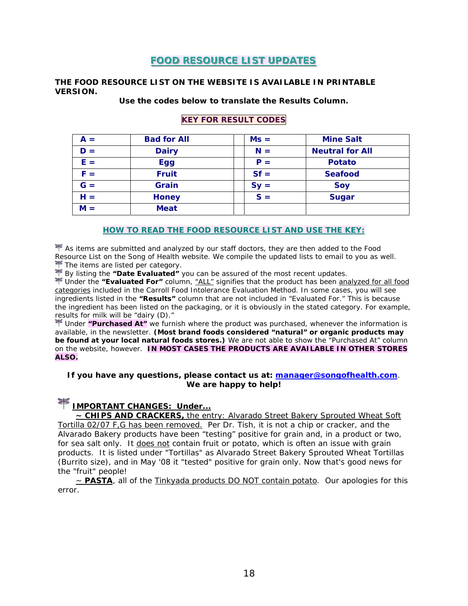## **FOOD RESOURCE LIST UPDATES**

#### **THE FOOD RESOURCE LIST ON THE WEBSITE IS AVAILABLE IN PRINTABLE VERSION.**

#### **Use the codes below to translate the Results Column.**

# **KEY FOR RESULT CODES**

| $A =$ | <b>Bad for All</b> | $Ms =$ | <b>Mine Salt</b>       |
|-------|--------------------|--------|------------------------|
| $D =$ | <b>Dairy</b>       | $N =$  | <b>Neutral for All</b> |
| $E =$ | <b>Egg</b>         | $P =$  | <b>Potato</b>          |
| $F =$ | <b>Fruit</b>       | $Sf =$ | <b>Seafood</b>         |
| $G =$ | Grain              | $Sy =$ | Soy                    |
| $H =$ | <b>Honey</b>       | $S =$  | <b>Sugar</b>           |
| $M =$ | <b>Meat</b>        |        |                        |

#### **HOW TO READ THE FOOD RESOURCE LIST AND USE THE KEY:**

 $\blacktriangleright$  As items are submitted and analyzed by our staff doctors, they are then added to the Food Resource List on the *Song of Health* website. We compile the updated lists to email to you as well. The items are listed per category.

By listing the **"Date Evaluated"** you can be assured of the most recent updates.

 Under the **"Evaluated For"** column, "ALL" signifies that the product has been analyzed for all food categories included in the Carroll Food Intolerance Evaluation Method. In some cases, you will see ingredients listed in the **"Results"** column that are not included in "Evaluated For." This is because the ingredient has been listed on the packaging, or it is obviously in the stated category. For example, results for milk will be "dairy (D)."

 Under **"Purchased At"** we furnish where the product was purchased, whenever the information is available, in the newsletter. **(Most brand foods considered "natural" or organic products may be found at your local natural foods stores.)** We are not able to show the "Purchased At" column on the website, however. **IN MOST CASES THE PRODUCTS ARE AVAILABLE IN OTHER STORES ALSO.**

#### **If you have any questions, please contact us at: [manager@songofhealth.com](mailto:manager@songofhealth.com)**. **We are happy to help!**

# *IMPORTANT CHANGES:* **Under...**

**~ CHIPS AND CRACKERS,** the entry: Alvarado Street Bakery Sprouted Wheat Soft Tortilla 02/07 F,G has been removed. Per Dr. Tish, it is not a chip or cracker, and the Alvarado Bakery products have been "testing" positive for grain and, in a product or two, for sea salt *only*. It does not contain fruit or potato, which is often an issue with grain products. It is listed under "Tortillas" as Alvarado Street Bakery Sprouted Wheat Tortillas (Burrito size), and in May '08 it "tested" positive for grain only. Now that's good news for the "fruit" people!

~ **PASTA**, all of the Tinkyada products DO NOT contain potato. Our apologies for this error.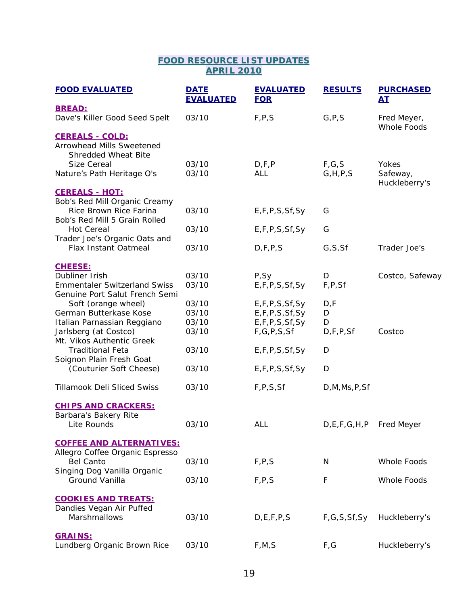## **FOOD RESOURCE LIST UPDATES APRIL 2010**

| <b>FOOD EVALUATED</b>                                                                    | <b>DATE</b><br><b>EVALUATED</b> | <b>EVALUATED</b><br><b>FOR</b> | <b>RESULTS</b>              | <b>PURCHASED</b><br><u>AT</u>      |
|------------------------------------------------------------------------------------------|---------------------------------|--------------------------------|-----------------------------|------------------------------------|
| <b>BREAD:</b>                                                                            |                                 |                                |                             |                                    |
| Dave's Killer Good Seed Spelt                                                            | 03/10                           | F, P, S                        | G, P, S                     | Fred Meyer,<br>Whole Foods         |
| <b>CEREALS - COLD:</b><br>Arrowhead Mills Sweetened<br>Shredded Wheat Bite               |                                 |                                |                             |                                    |
| Size Cereal<br>Nature's Path Heritage O's                                                | 03/10<br>03/10                  | D, F, P<br><b>ALL</b>          | F, G, S<br>G, H, P, S       | Yokes<br>Safeway,<br>Huckleberry's |
| <b>CEREALS - HOT:</b>                                                                    |                                 |                                |                             |                                    |
| Bob's Red Mill Organic Creamy<br>Rice Brown Rice Farina<br>Bob's Red Mill 5 Grain Rolled | 03/10                           | E, F, P, S, Sf, Sy             | G                           |                                    |
| <b>Hot Cereal</b>                                                                        | 03/10                           | E, F, P, S, Sf, Sy             | G                           |                                    |
| Trader Joe's Organic Oats and<br><b>Flax Instant Oatmeal</b>                             | 03/10                           | D, F, P, S                     | G, S, Sf                    | Trader Joe's                       |
| <b>CHEESE:</b>                                                                           |                                 |                                |                             |                                    |
| Dubliner Irish                                                                           | 03/10                           | P, Sy                          | D                           | Costco, Safeway                    |
| <b>Emmentaler Switzerland Swiss</b><br>Genuine Port Salut French Semi                    | 03/10                           | E,F,P,S,Sf,Sy                  | F, P, Sf                    |                                    |
| Soft (orange wheel)                                                                      | 03/10                           | E, F, P, S, Sf, Sy             | D, F                        |                                    |
| German Butterkase Kose                                                                   | 03/10                           | E, F, P, S, Sf, Sy             | D                           |                                    |
| Italian Parnassian Reggiano                                                              | 03/10                           | E, F, P, S, Sf, Sy             | D                           |                                    |
| Jarlsberg (at Costco)<br>Mt. Vikos Authentic Greek                                       | 03/10                           | F, G, P, S, Sf                 | D, F, P, Sf                 | Costco                             |
| <b>Traditional Feta</b><br>Soignon Plain Fresh Goat                                      | 03/10                           | E,F,P,S,Sf,Sy                  | D                           |                                    |
| (Couturier Soft Cheese)                                                                  | 03/10                           | E,F,P,S,Sf,Sy                  | D                           |                                    |
| <b>Tillamook Deli Sliced Swiss</b>                                                       | 03/10                           | F, P, S, Sf                    | D, M, Ms, P, Sf             |                                    |
| <b>CHIPS AND CRACKERS:</b>                                                               |                                 |                                |                             |                                    |
| Barbara's Bakery Rite<br>Lite Rounds                                                     | 03/10                           | ALL                            | D, E, F, G, H, P Fred Meyer |                                    |
| <b>COFFEE AND ALTERNATIVES:</b>                                                          |                                 |                                |                             |                                    |
| Allegro Coffee Organic Espresso                                                          |                                 |                                |                             |                                    |
| <b>Bel Canto</b>                                                                         | 03/10                           | F, P, S                        | $\mathsf{N}$                | Whole Foods                        |
| Singing Dog Vanilla Organic<br>Ground Vanilla                                            | 03/10                           | F, P, S                        | F                           | Whole Foods                        |
| <b>COOKIES AND TREATS:</b>                                                               |                                 |                                |                             |                                    |
| Dandies Vegan Air Puffed<br>Marshmallows                                                 | 03/10                           | D, E, F, P, S                  | F, G, S, Sf, Sy             | Huckleberry's                      |
| <b>GRAINS:</b>                                                                           |                                 |                                |                             |                                    |
| Lundberg Organic Brown Rice                                                              | 03/10                           | F, M, S                        | F,G                         | Huckleberry's                      |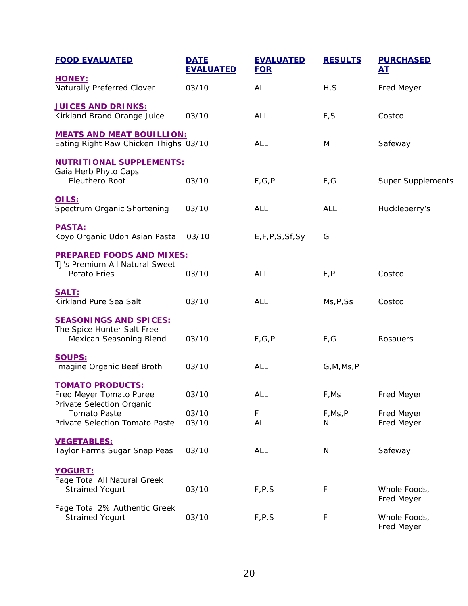| <b>FOOD EVALUATED</b>                                                                  | <b>DATE</b><br><b>EVALUATED</b> | <b>EVALUATED</b><br><b>FOR</b> | <b>RESULTS</b> | <b>PURCHASED</b><br><u>AT</u> |
|----------------------------------------------------------------------------------------|---------------------------------|--------------------------------|----------------|-------------------------------|
| <b>HONEY:</b><br>Naturally Preferred Clover                                            | 03/10                           | <b>ALL</b>                     | H, S           | Fred Meyer                    |
| <b>JUICES AND DRINKS:</b><br>Kirkland Brand Orange Juice                               | 03/10                           | ALL                            | F, S           | Costco                        |
| <b>MEATS AND MEAT BOUILLION:</b><br>Eating Right Raw Chicken Thighs 03/10              |                                 | ALL                            | M              | Safeway                       |
| <b>NUTRITIONAL SUPPLEMENTS:</b><br>Gaia Herb Phyto Caps<br>Eleuthero Root              | 03/10                           | F, G, P                        | F,G            | <b>Super Supplements</b>      |
| OILS:<br>Spectrum Organic Shortening                                                   | 03/10                           | ALL                            | <b>ALL</b>     | Huckleberry's                 |
| <b>PASTA:</b><br>Koyo Organic Udon Asian Pasta                                         | 03/10                           | E,F,P,S,Sf,Sy                  | G              |                               |
| <b>PREPARED FOODS AND MIXES:</b><br>TJ's Premium All Natural Sweet<br>Potato Fries     | 03/10                           | ALL                            | F, P           | Costco                        |
| SALT:<br>Kirkland Pure Sea Salt                                                        | 03/10                           | <b>ALL</b>                     | Ms, P, Ss      | Costco                        |
| <b>SEASONINGS AND SPICES:</b><br>The Spice Hunter Salt Free<br>Mexican Seasoning Blend | 03/10                           | F, G, P                        | F,G            | Rosauers                      |
| <b>SOUPS:</b><br>Imagine Organic Beef Broth                                            | 03/10                           | ALL                            | G, M, Ms, P    |                               |
| <b>TOMATO PRODUCTS:</b><br>Fred Meyer Tomato Puree<br>Private Selection Organic        | 03/10                           | ALL                            | F,Ms           | Fred Meyer                    |
| <b>Tomato Paste</b><br>Private Selection Tomato Paste                                  | 03/10<br>03/10                  | F<br><b>ALL</b>                | F, Ms, P<br>N. | Fred Meyer<br>Fred Meyer      |
| <b>VEGETABLES:</b><br>Taylor Farms Sugar Snap Peas                                     | 03/10                           | <b>ALL</b>                     | N              | Safeway                       |
| YOGURT:<br>Fage Total All Natural Greek<br><b>Strained Yogurt</b>                      | 03/10                           | F, P, S                        | $\mathsf F$    | Whole Foods,<br>Fred Meyer    |
| Fage Total 2% Authentic Greek<br><b>Strained Yogurt</b>                                | 03/10                           | F, P, S                        | F              | Whole Foods,<br>Fred Meyer    |